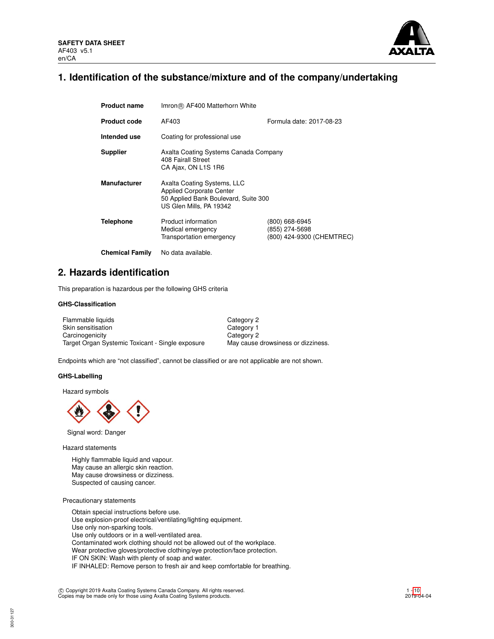

# **1. Identification of the substance/mixture and of the company/undertaking**

| <b>Product name</b>    | Imron® AF400 Matterhorn White                                                                                                     |                                                               |  |  |  |
|------------------------|-----------------------------------------------------------------------------------------------------------------------------------|---------------------------------------------------------------|--|--|--|
| <b>Product code</b>    | AF403                                                                                                                             | Formula date: 2017-08-23                                      |  |  |  |
| Intended use           | Coating for professional use                                                                                                      |                                                               |  |  |  |
| <b>Supplier</b>        | Axalta Coating Systems Canada Company<br>408 Fairall Street<br>CA Ajax, ON L1S 1R6                                                |                                                               |  |  |  |
| <b>Manufacturer</b>    | Axalta Coating Systems, LLC<br><b>Applied Corporate Center</b><br>50 Applied Bank Boulevard, Suite 300<br>US Glen Mills, PA 19342 |                                                               |  |  |  |
| Telephone              | Product information<br>Medical emergency<br>Transportation emergency                                                              | (800) 668-6945<br>(855) 274-5698<br>(800) 424-9300 (CHEMTREC) |  |  |  |
| <b>Chemical Family</b> | No data available.                                                                                                                |                                                               |  |  |  |

## **2. Hazards identification**

This preparation is hazardous per the following GHS criteria

## **GHS-Classification**

| Flammable liquids                                | Category 2                         |
|--------------------------------------------------|------------------------------------|
| Skin sensitisation                               | Category 1                         |
| Carcinogenicity                                  | Category 2                         |
| Target Organ Systemic Toxicant - Single exposure | May cause drowsiness or dizziness. |

Endpoints which are "not classified", cannot be classified or are not applicable are not shown.

#### **GHS-Labelling**

Hazard symbols



Signal word: Danger

Hazard statements

Highly flammable liquid and vapour. May cause an allergic skin reaction. May cause drowsiness or dizziness. Suspected of causing cancer.

Precautionary statements

Obtain special instructions before use. Use explosion-proof electrical/ventilating/lighting equipment. Use only non-sparking tools. Use only outdoors or in a well-ventilated area. Contaminated work clothing should not be allowed out of the workplace. Wear protective gloves/protective clothing/eye protection/face protection. IF ON SKIN: Wash with plenty of soap and water. IF INHALED: Remove person to fresh air and keep comfortable for breathing.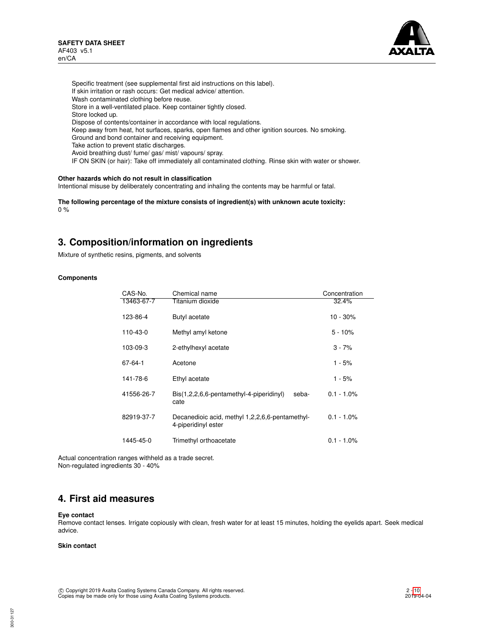

Specific treatment (see supplemental first aid instructions on this label). If skin irritation or rash occurs: Get medical advice/ attention. Wash contaminated clothing before reuse. Store in a well-ventilated place. Keep container tightly closed. Store locked up. Dispose of contents/container in accordance with local regulations. Keep away from heat, hot surfaces, sparks, open flames and other ignition sources. No smoking. Ground and bond container and receiving equipment. Take action to prevent static discharges. Avoid breathing dust/ fume/ gas/ mist/ vapours/ spray. IF ON SKIN (or hair): Take off immediately all contaminated clothing. Rinse skin with water or shower.

## **Other hazards which do not result in classification**

Intentional misuse by deliberately concentrating and inhaling the contents may be harmful or fatal.

**The following percentage of the mixture consists of ingredient(s) with unknown acute toxicity:** 0 %

## **3. Composition/information on ingredients**

Mixture of synthetic resins, pigments, and solvents

#### **Components**

| CAS-No.    | Chemical name                                                          | Concentration |
|------------|------------------------------------------------------------------------|---------------|
| 13463-67-7 | Titanium dioxide                                                       | 32.4%         |
| 123-86-4   | Butyl acetate                                                          | $10 - 30\%$   |
| 110-43-0   | Methyl amyl ketone                                                     | $5 - 10%$     |
| 103-09-3   | 2-ethylhexyl acetate                                                   | $3 - 7%$      |
| 67-64-1    | Acetone                                                                | 1 - 5%        |
| 141-78-6   | Ethyl acetate                                                          | 1 - 5%        |
| 41556-26-7 | Bis(1,2,2,6,6-pentamethyl-4-piperidinyl)<br>seba-<br>cate              | $0.1 - 1.0\%$ |
| 82919-37-7 | Decanedioic acid, methyl 1,2,2,6,6-pentamethyl-<br>4-piperidinyl ester | $0.1 - 1.0\%$ |
| 1445-45-0  | Trimethyl orthoacetate                                                 | $0.1 - 1.0\%$ |

Actual concentration ranges withheld as a trade secret. Non-regulated ingredients 30 - 40%

# **4. First aid measures**

### **Eye contact**

Remove contact lenses. Irrigate copiously with clean, fresh water for at least 15 minutes, holding the eyelids apart. Seek medical advice.

## **Skin contact**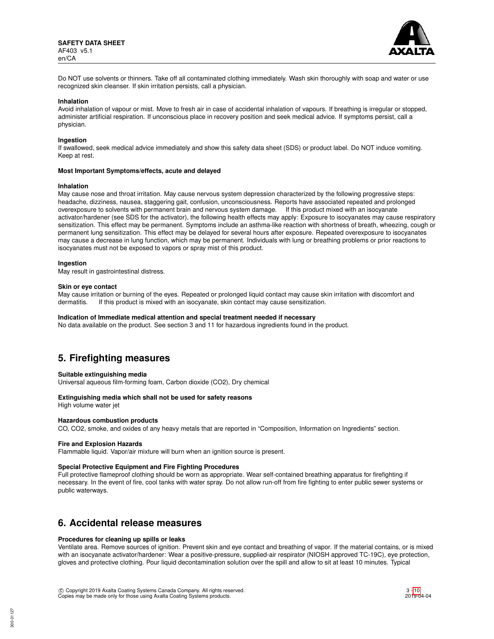

Do NOT use solvents or thinners. Take off all contaminated clothing immediately. Wash skin thoroughly with soap and water or use recognized skin cleanser. If skin irritation persists, call a physician.

#### **Inhalation**

Avoid inhalation of vapour or mist. Move to fresh air in case of accidental inhalation of vapours. If breathing is irregular or stopped, administer artificial respiration. If unconscious place in recovery position and seek medical advice. If symptoms persist, call a physician.

#### **Ingestion**

If swallowed, seek medical advice immediately and show this safety data sheet (SDS) or product label. Do NOT induce vomiting. Keep at rest.

#### **Most Important Symptoms/effects, acute and delayed**

#### **Inhalation**

May cause nose and throat irritation. May cause nervous system depression characterized by the following progressive steps: headache, dizziness, nausea, staggering gait, confusion, unconsciousness. Reports have associated repeated and prolonged overexposure to solvents with permanent brain and nervous system damage. If this product mixed with an isocyanate activator/hardener (see SDS for the activator), the following health effects may apply: Exposure to isocyanates may cause respiratory sensitization. This effect may be permanent. Symptoms include an asthma-like reaction with shortness of breath, wheezing, cough or permanent lung sensitization. This effect may be delayed for several hours after exposure. Repeated overexposure to isocyanates may cause a decrease in lung function, which may be permanent. Individuals with lung or breathing problems or prior reactions to isocyanates must not be exposed to vapors or spray mist of this product.

#### **Ingestion**

May result in gastrointestinal distress.

#### **Skin or eye contact**

May cause irritation or burning of the eyes. Repeated or prolonged liquid contact may cause skin irritation with discomfort and dermatitis. If this product is mixed with an isocyanate, skin contact may cause sensitization.

#### **Indication of Immediate medical attention and special treatment needed if necessary**

No data available on the product. See section 3 and 11 for hazardous ingredients found in the product.

## **5. Firefighting measures**

#### **Suitable extinguishing media**

Universal aqueous film-forming foam, Carbon dioxide (CO2), Dry chemical

## **Extinguishing media which shall not be used for safety reasons**

High volume water jet

## **Hazardous combustion products**

CO, CO2, smoke, and oxides of any heavy metals that are reported in "Composition, Information on Ingredients" section.

#### **Fire and Explosion Hazards**

Flammable liquid. Vapor/air mixture will burn when an ignition source is present.

### **Special Protective Equipment and Fire Fighting Procedures**

Full protective flameproof clothing should be worn as appropriate. Wear self-contained breathing apparatus for firefighting if necessary. In the event of fire, cool tanks with water spray. Do not allow run-off from fire fighting to enter public sewer systems or public waterways.

## **6. Accidental release measures**

### **Procedures for cleaning up spills or leaks**

Ventilate area. Remove sources of ignition. Prevent skin and eye contact and breathing of vapor. If the material contains, or is mixed with an isocyanate activator/hardener: Wear a positive-pressure, supplied-air respirator (NIOSH approved TC-19C), eye protection, gloves and protective clothing. Pour liquid decontamination solution over the spill and allow to sit at least 10 minutes. Typical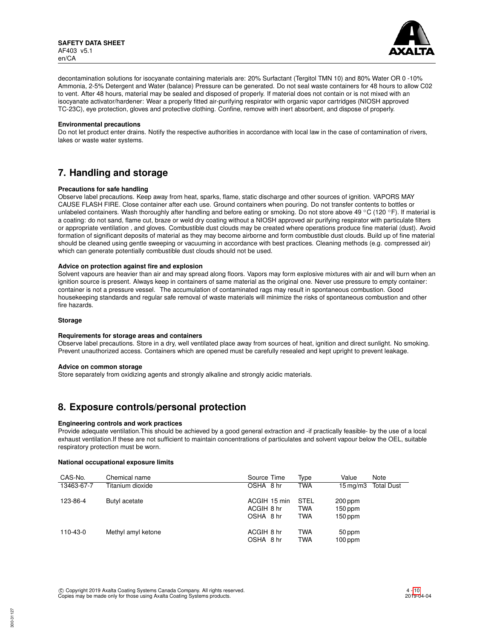

decontamination solutions for isocyanate containing materials are: 20% Surfactant (Tergitol TMN 10) and 80% Water OR 0 -10% Ammonia, 2-5% Detergent and Water (balance) Pressure can be generated. Do not seal waste containers for 48 hours to allow C02 to vent. After 48 hours, material may be sealed and disposed of properly. If material does not contain or is not mixed with an isocyanate activator/hardener: Wear a properly fitted air-purifying respirator with organic vapor cartridges (NIOSH approved TC-23C), eye protection, gloves and protective clothing. Confine, remove with inert absorbent, and dispose of properly.

### **Environmental precautions**

Do not let product enter drains. Notify the respective authorities in accordance with local law in the case of contamination of rivers, lakes or waste water systems.

# **7. Handling and storage**

## **Precautions for safe handling**

Observe label precautions. Keep away from heat, sparks, flame, static discharge and other sources of ignition. VAPORS MAY CAUSE FLASH FIRE. Close container after each use. Ground containers when pouring. Do not transfer contents to bottles or unlabeled containers. Wash thoroughly after handling and before eating or smoking. Do not store above 49 °C (120 °F). If material is a coating: do not sand, flame cut, braze or weld dry coating without a NIOSH approved air purifying respirator with particulate filters or appropriate ventilation , and gloves. Combustible dust clouds may be created where operations produce fine material (dust). Avoid formation of significant deposits of material as they may become airborne and form combustible dust clouds. Build up of fine material should be cleaned using gentle sweeping or vacuuming in accordance with best practices. Cleaning methods (e.g. compressed air) which can generate potentially combustible dust clouds should not be used.

## **Advice on protection against fire and explosion**

Solvent vapours are heavier than air and may spread along floors. Vapors may form explosive mixtures with air and will burn when an ignition source is present. Always keep in containers of same material as the original one. Never use pressure to empty container: container is not a pressure vessel. The accumulation of contaminated rags may result in spontaneous combustion. Good housekeeping standards and regular safe removal of waste materials will minimize the risks of spontaneous combustion and other fire hazards.

### **Storage**

### **Requirements for storage areas and containers**

Observe label precautions. Store in a dry, well ventilated place away from sources of heat, ignition and direct sunlight. No smoking. Prevent unauthorized access. Containers which are opened must be carefully resealed and kept upright to prevent leakage.

### **Advice on common storage**

Store separately from oxidizing agents and strongly alkaline and strongly acidic materials.

## **8. Exposure controls/personal protection**

## **Engineering controls and work practices**

Provide adequate ventilation.This should be achieved by a good general extraction and -if practically feasible- by the use of a local exhaust ventilation.If these are not sufficient to maintain concentrations of particulates and solvent vapour below the OEL, suitable respiratory protection must be worn.

#### **National occupational exposure limits**

| CAS-No.    | Chemical name      | Source Time                             | Type                                    | Value                             | Note              |
|------------|--------------------|-----------------------------------------|-----------------------------------------|-----------------------------------|-------------------|
| 13463-67-7 | Titanium dioxide   | OSHA 8 hr                               | <b>TWA</b>                              | $15 \,\mathrm{mq/m}$              | <b>Total Dust</b> |
| 123-86-4   | Butyl acetate      | ACGIH 15 min<br>ACGIH 8 hr<br>OSHA 8 hr | <b>STEL</b><br><b>TWA</b><br><b>TWA</b> | 200 ppm<br>$150$ ppm<br>$150$ ppm |                   |
| 110-43-0   | Methyl amyl ketone | ACGIH 8 hr<br>OSHA 8 hr                 | <b>TWA</b><br><b>TWA</b>                | 50 ppm<br>$100$ ppm               |                   |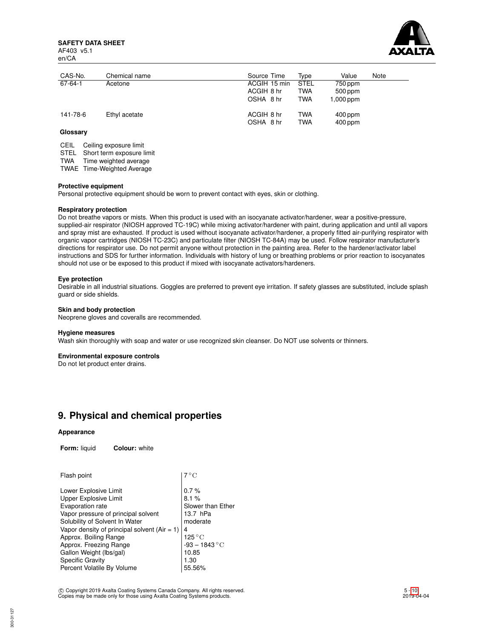**SAFETY DATA SHEET** AF403 v5.1 en/CA



| CAS-No.  | Chemical name | Source Time                             | Tvpe                                    | Value                               | Note |
|----------|---------------|-----------------------------------------|-----------------------------------------|-------------------------------------|------|
| 67-64-1  | Acetone       | ACGIH 15 min<br>ACGIH 8 hr<br>OSHA 8 hr | <b>STEL</b><br><b>TWA</b><br><b>TWA</b> | 750 ppm<br>$500$ ppm<br>$1,000$ ppm |      |
| 141-78-6 | Ethyl acetate | ACGIH 8 hr<br>OSHA 8 hr                 | TWA<br><b>TWA</b>                       | $400$ ppm<br>$400$ ppm              |      |

## **Glossary**

CEIL Ceiling exposure limit

STEL Short term exposure limit

TWA Time weighted average

TWAE Time-Weighted Average

#### **Protective equipment**

Personal protective equipment should be worn to prevent contact with eyes, skin or clothing.

## **Respiratory protection**

Do not breathe vapors or mists. When this product is used with an isocyanate activator/hardener, wear a positive-pressure, supplied-air respirator (NIOSH approved TC-19C) while mixing activator/hardener with paint, during application and until all vapors and spray mist are exhausted. If product is used without isocyanate activator/hardener, a properly fitted air-purifying respirator with organic vapor cartridges (NIOSH TC-23C) and particulate filter (NIOSH TC-84A) may be used. Follow respirator manufacturer's directions for respirator use. Do not permit anyone without protection in the painting area. Refer to the hardener/activator label instructions and SDS for further information. Individuals with history of lung or breathing problems or prior reaction to isocyanates should not use or be exposed to this product if mixed with isocyanate activators/hardeners.

### **Eye protection**

Desirable in all industrial situations. Goggles are preferred to prevent eye irritation. If safety glasses are substituted, include splash guard or side shields.

### **Skin and body protection**

Neoprene gloves and coveralls are recommended.

#### **Hygiene measures**

Wash skin thoroughly with soap and water or use recognized skin cleanser. Do NOT use solvents or thinners.

### **Environmental exposure controls**

Do not let product enter drains.

## **9. Physical and chemical properties**

#### **Appearance**

**Form:** liquid **Colour:** white

| $7^{\circ}$ C         |
|-----------------------|
| 0.7%                  |
| 8.1%                  |
| Slower than Ether     |
| 13.7 hPa              |
| moderate              |
| 4                     |
| 125 $^{\circ}{\rm C}$ |
| $-93 - 1843 °C$       |
| 10.85                 |
| 1.30                  |
| 55.56%                |
|                       |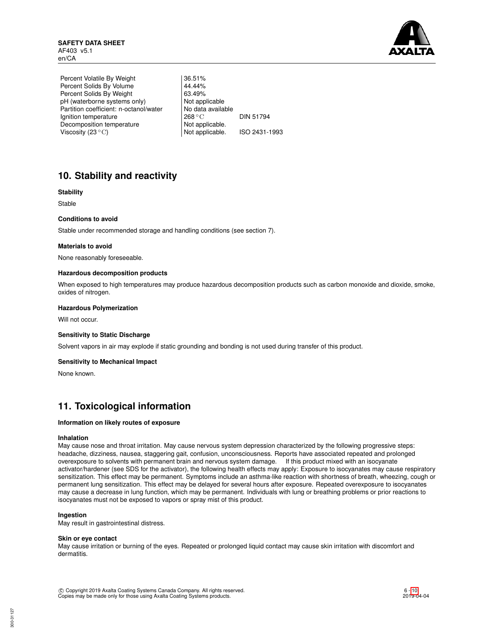

Percent Volatile By Weight | 36.51% Percent Solids By Volume 44.44%<br>Percent Solids By Weight 63.49% Percent Solids By Weight 63.49%<br>
pH (waterborne systems only) Not applicable pH (waterborne systems only) Partition coefficient: n-octanol/water | No data available Ignition temperature 268 °C DIN 51794 Decomposition temperature Not applicable.<br>Viscosity (23 °C) Not applicable. Viscosity (23 °C) Not applicable. ISO 2431-1993

# **10. Stability and reactivity**

## **Stability**

Stable

## **Conditions to avoid**

Stable under recommended storage and handling conditions (see section 7).

## **Materials to avoid**

None reasonably foreseeable.

## **Hazardous decomposition products**

When exposed to high temperatures may produce hazardous decomposition products such as carbon monoxide and dioxide, smoke, oxides of nitrogen.

#### **Hazardous Polymerization**

Will not occur.

#### **Sensitivity to Static Discharge**

Solvent vapors in air may explode if static grounding and bonding is not used during transfer of this product.

#### **Sensitivity to Mechanical Impact**

None known.

# **11. Toxicological information**

## **Information on likely routes of exposure**

### **Inhalation**

May cause nose and throat irritation. May cause nervous system depression characterized by the following progressive steps: headache, dizziness, nausea, staggering gait, confusion, unconsciousness. Reports have associated repeated and prolonged overexposure to solvents with permanent brain and nervous system damage. If this product mixed with an isocyanate activator/hardener (see SDS for the activator), the following health effects may apply: Exposure to isocyanates may cause respiratory sensitization. This effect may be permanent. Symptoms include an asthma-like reaction with shortness of breath, wheezing, cough or permanent lung sensitization. This effect may be delayed for several hours after exposure. Repeated overexposure to isocyanates may cause a decrease in lung function, which may be permanent. Individuals with lung or breathing problems or prior reactions to isocyanates must not be exposed to vapors or spray mist of this product.

## **Ingestion**

May result in gastrointestinal distress.

#### **Skin or eye contact**

May cause irritation or burning of the eyes. Repeated or prolonged liquid contact may cause skin irritation with discomfort and dermatitis.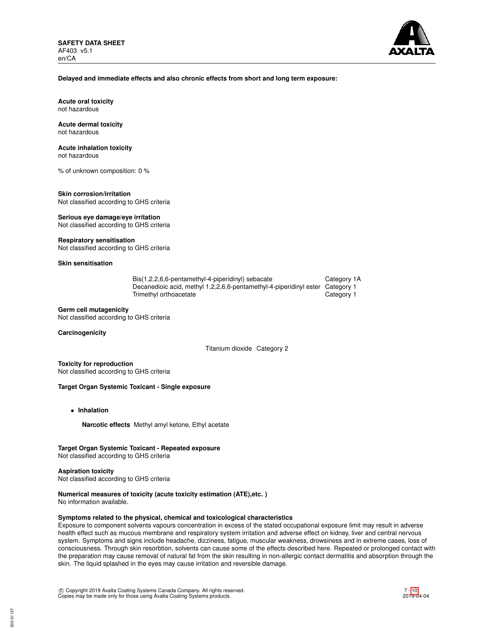

### **Delayed and immediate effects and also chronic effects from short and long term exposure:**

**Acute oral toxicity** not hazardous

#### **Acute dermal toxicity** not hazardous

## **Acute inhalation toxicity**

not hazardous

% of unknown composition: 0 %

#### **Skin corrosion/irritation** Not classified according to GHS criteria

**Serious eye damage/eye irritation**

Not classified according to GHS criteria

## **Respiratory sensitisation**

Not classified according to GHS criteria

## **Skin sensitisation**

| Bis(1,2,2,6,6-pentamethyl-4-piperidinyl) sebacate                             | Category 1A |
|-------------------------------------------------------------------------------|-------------|
| Decanedioic acid, methyl 1,2,2,6,6-pentamethyl-4-piperidinyl ester Category 1 |             |
| Trimethyl orthoacetate                                                        | Category 1  |

## **Germ cell mutagenicity**

Not classified according to GHS criteria

## **Carcinogenicity**

Titanium dioxide Category 2

**Toxicity for reproduction** Not classified according to GHS criteria

## **Target Organ Systemic Toxicant - Single exposure**

- **Inhalation**
	- **Narcotic effects** Methyl amyl ketone, Ethyl acetate

## **Target Organ Systemic Toxicant - Repeated exposure**

Not classified according to GHS criteria

#### **Aspiration toxicity**

Not classified according to GHS criteria

## **Numerical measures of toxicity (acute toxicity estimation (ATE),etc. )**

No information available.

## **Symptoms related to the physical, chemical and toxicological characteristics**

Exposure to component solvents vapours concentration in excess of the stated occupational exposure limit may result in adverse health effect such as mucous membrane and respiratory system irritation and adverse effect on kidney, liver and central nervous system. Symptoms and signs include headache, dizziness, fatigue, muscular weakness, drowsiness and in extreme cases, loss of consciousness. Through skin resorbtion, solvents can cause some of the effects described here. Repeated or prolonged contact with the preparation may cause removal of natural fat from the skin resulting in non-allergic contact dermatitis and absorption through the skin. The liquid splashed in the eyes may cause irritation and reversible damage.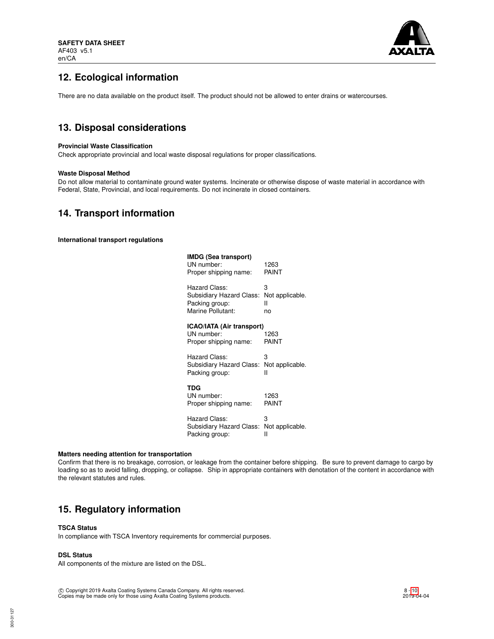

# **12. Ecological information**

There are no data available on the product itself. The product should not be allowed to enter drains or watercourses.

# **13. Disposal considerations**

## **Provincial Waste Classification**

Check appropriate provincial and local waste disposal regulations for proper classifications.

## **Waste Disposal Method**

Do not allow material to contaminate ground water systems. Incinerate or otherwise dispose of waste material in accordance with Federal, State, Provincial, and local requirements. Do not incinerate in closed containers.

## **14. Transport information**

**International transport regulations**

| IMDG (Sea transport)<br>UN number:<br>Proper shipping name:      | 1263<br>PAINT   |
|------------------------------------------------------------------|-----------------|
| Hazard Class:                                                    | 3               |
| Subsidiary Hazard Class:                                         | Not applicable. |
| Packing group:                                                   | н               |
| Marine Pollutant:                                                | no              |
| ICAO/IATA (Air transport)<br>UN number:<br>Proper shipping name: | 1263<br>PAINT   |
| Hazard Class:                                                    | 3               |
| Subsidiary Hazard Class:                                         | Not applicable. |
| Packing group:                                                   | н               |
| TDG<br>UN number:<br>Proper shipping name:                       | 1263<br>PAINT   |
| Hazard Class:                                                    | 3               |
| Subsidiary Hazard Class:                                         | Not applicable. |
| Packing group:                                                   | н               |

#### **Matters needing attention for transportation**

Confirm that there is no breakage, corrosion, or leakage from the container before shipping. Be sure to prevent damage to cargo by loading so as to avoid falling, dropping, or collapse. Ship in appropriate containers with denotation of the content in accordance with the relevant statutes and rules.

# **15. Regulatory information**

## **TSCA Status**

In compliance with TSCA Inventory requirements for commercial purposes.

## **DSL Status**

All components of the mixture are listed on the DSL.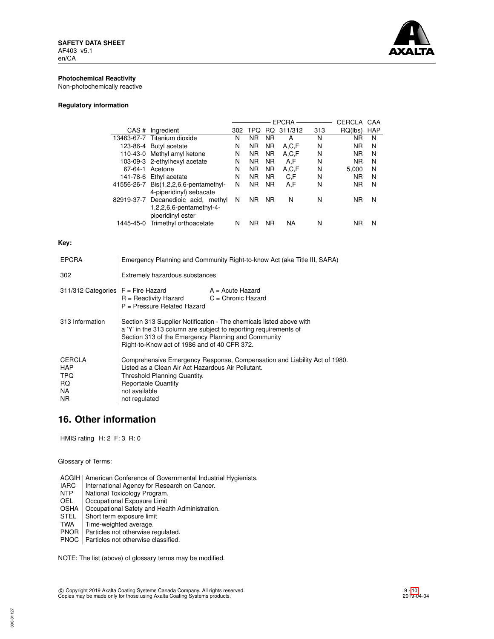

## **Photochemical Reactivity**

Non-photochemically reactive

## **Regulatory information**

|                                             |     |                |           |         |              | CERCLA    | CAA        |
|---------------------------------------------|-----|----------------|-----------|---------|--------------|-----------|------------|
| CAS#<br>Ingredient                          | 302 | <b>TPO</b>     | RQ.       | 311/312 | 313          | RQ(lbs)   | <b>HAP</b> |
| 13463-67-7 Titanium dioxide                 | N   | ΝR             | <b>NR</b> | А       | N            | ΝR        | N          |
| 123-86-4 Butyl acetate                      | N   | <b>NR</b>      | <b>NR</b> | A.C.F   | N            | <b>NR</b> | N          |
| 110-43-0 Methyl amyl ketone                 | N   | <b>NR</b>      | <b>NR</b> | A,C,F   | N            | <b>NR</b> | N          |
| 103-09-3 2-ethylhexyl acetate               | Ν   | <b>NR</b>      | <b>NR</b> | A,F     | N            | <b>NR</b> | N          |
| 67-64-1 Acetone                             | N   | N <sub>R</sub> | <b>NR</b> | A,C,F   | N            | 5.000     | N          |
| 141-78-6<br>Ethyl acetate                   | N   | N <sub>R</sub> | <b>NR</b> | C.F     | N            | <b>NR</b> | N          |
| $Dis(1,2,2,6,6$ -pentamethyl-<br>41556-26-7 | Ν   | <b>NR</b>      | <b>NR</b> | A.F     | N            | <b>NR</b> | N          |
| 4-piperidinyl) sebacate                     |     |                |           |         |              |           |            |
| 82919-37-7 Decanedioic acid, methyl         | N   | N <sub>R</sub> | <b>NR</b> | N       | N            | <b>NR</b> | N          |
| $1,2,2,6,6$ -pentamethyl-4-                 |     |                |           |         |              |           |            |
| piperidinyl ester                           |     |                |           |         |              |           |            |
| Trimethyl orthoacetate                      | N   | ΝR             | <b>NR</b> | NA      | N            | ΝR        | N          |
|                                             |     |                |           |         | <b>EPCRA</b> |           |            |

## **Key:**

| <b>EPCRA</b>                                      | Emergency Planning and Community Right-to-know Act (aka Title III, SARA)                                                                                                                                                                       |                                                                           |  |
|---------------------------------------------------|------------------------------------------------------------------------------------------------------------------------------------------------------------------------------------------------------------------------------------------------|---------------------------------------------------------------------------|--|
| 302                                               | Extremely hazardous substances                                                                                                                                                                                                                 |                                                                           |  |
| $311/312$ Categories $F =$ Fire Hazard            | $R =$ Reactivity Hazard $C =$ Chronic Hazard<br>P = Pressure Related Hazard                                                                                                                                                                    | $A = Acute$ Hazard                                                        |  |
| 313 Information                                   | Section 313 Supplier Notification - The chemicals listed above with<br>a 'Y' in the 313 column are subject to reporting requirements of<br>Section 313 of the Emergency Planning and Community<br>Right-to-Know act of 1986 and of 40 CFR 372. |                                                                           |  |
| CERCLA<br><b>HAP</b><br>TPQ.<br>RQ.<br>NA.<br>NR. | Listed as a Clean Air Act Hazardous Air Pollutant.<br>Threshold Planning Quantity.<br><b>Reportable Quantity</b><br>not available<br>not regulated                                                                                             | Comprehensive Emergency Response, Compensation and Liability Act of 1980. |  |

# **16. Other information**

HMIS rating H: 2 F: 3 R: 0

Glossary of Terms:

- ACGIH | American Conference of Governmental Industrial Hygienists.<br>
IARC | International Agency for Research on Cancer.
- IARC | International Agency for Research on Cancer.<br>
NTP | National Toxicology Program.
- NTP National Toxicology Program.<br>OEL Cocupational Exposure Limit
- Occupational Exposure Limit
- OSHA | Occupational Safety and Health Administration.<br>STEL | Short term exposure limit
- STEL Short term exposure limit<br>TWA Time-weighted average.
- Time-weighted average.
- PNOR | Particles not otherwise regulated.
- PNOC Particles not otherwise classified.

NOTE: The list (above) of glossary terms may be modified.